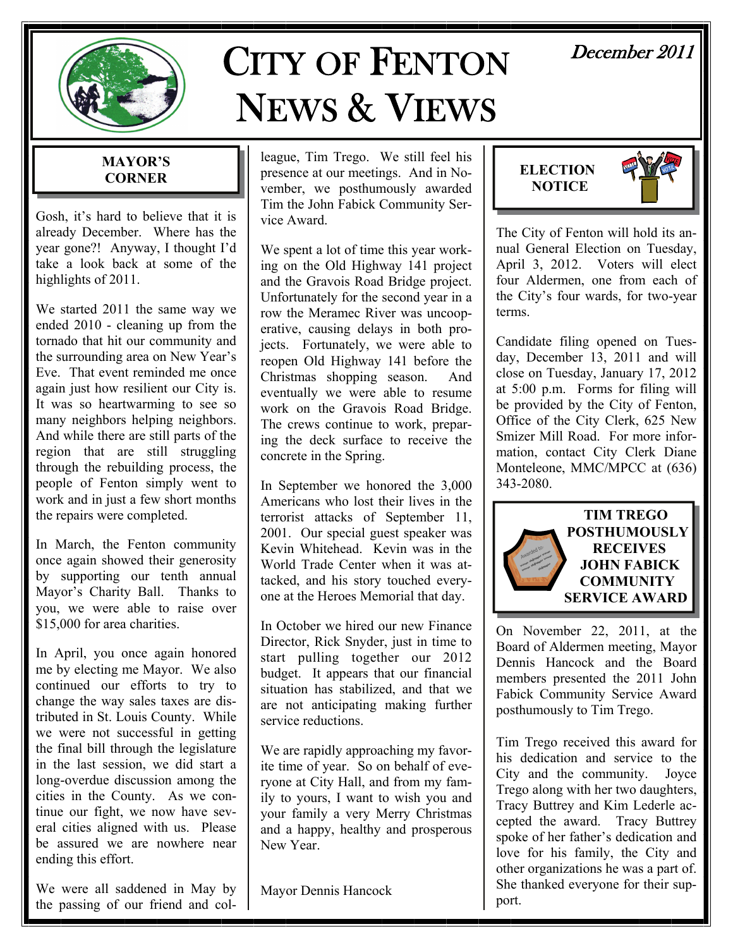

# CITY OF FENTON NEWS & VIEWS

# December 2011

# **MAYOR'S CORNER**

Gosh, it's hard to believe that it is already December. Where has the year gone?! Anyway, I thought I'd take a look back at some of the highlights of 2011.

We started 2011 the same way we ended 2010 - cleaning up from the tornado that hit our community and the surrounding area on New Year's Eve. That event reminded me once again just how resilient our City is. It was so heartwarming to see so many neighbors helping neighbors. And while there are still parts of the region that are still struggling through the rebuilding process, the people of Fenton simply went to work and in just a few short months the repairs were completed.

In March, the Fenton community once again showed their generosity by supporting our tenth annual Mayor's Charity Ball. Thanks to you, we were able to raise over \$15,000 for area charities.

In April, you once again honored me by electing me Mayor. We also continued our efforts to try to change the way sales taxes are distributed in St. Louis County. While we were not successful in getting the final bill through the legislature in the last session, we did start a long-overdue discussion among the cities in the County. As we continue our fight, we now have several cities aligned with us. Please be assured we are nowhere near ending this effort.

We were all saddened in May by the passing of our friend and col-

league, Tim Trego. We still feel his presence at our meetings. And in November, we posthumously awarded Tim the John Fabick Community Service Award.

We spent a lot of time this year working on the Old Highway 141 project and the Gravois Road Bridge project. Unfortunately for the second year in a row the Meramec River was uncooperative, causing delays in both projects. Fortunately, we were able to reopen Old Highway 141 before the Christmas shopping season. And eventually we were able to resume work on the Gravois Road Bridge. The crews continue to work, preparing the deck surface to receive the concrete in the Spring.

In September we honored the 3,000 Americans who lost their lives in the terrorist attacks of September 11, 2001. Our special guest speaker was Kevin Whitehead. Kevin was in the World Trade Center when it was attacked, and his story touched everyone at the Heroes Memorial that day.

In October we hired our new Finance Director, Rick Snyder, just in time to start pulling together our 2012 budget. It appears that our financial situation has stabilized, and that we are not anticipating making further service reductions.

We are rapidly approaching my favorite time of year. So on behalf of everyone at City Hall, and from my family to yours, I want to wish you and your family a very Merry Christmas and a happy, healthy and prosperous New Year.

Mayor Dennis Hancock



The City of Fenton will hold its annual General Election on Tuesday, April 3, 2012. Voters will elect four Aldermen, one from each of the City's four wards, for two-year terms.

Candidate filing opened on Tuesday, December 13, 2011 and will close on Tuesday, January 17, 2012 at 5:00 p.m. Forms for filing will be provided by the City of Fenton, Office of the City Clerk, 625 New Smizer Mill Road. For more information, contact City Clerk Diane Monteleone, MMC/MPCC at (636) 343-2080.



On November 22, 2011, at the Board of Aldermen meeting, Mayor Dennis Hancock and the Board members presented the 2011 John Fabick Community Service Award posthumously to Tim Trego.

Tim Trego received this award for his dedication and service to the City and the community. Joyce Trego along with her two daughters, Tracy Buttrey and Kim Lederle accepted the award. Tracy Buttrey spoke of her father's dedication and love for his family, the City and other organizations he was a part of. She thanked everyone for their support.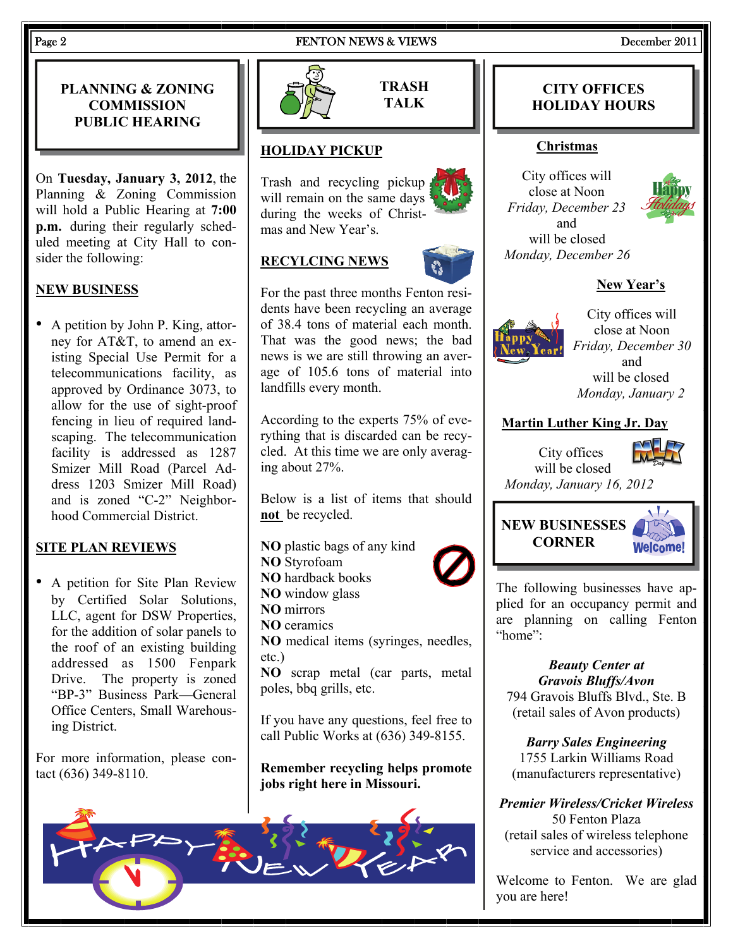#### Page 2 **FENTON NEWS & VIEWS** December 2011

# **PLANNING & ZONING COMMISSION PUBLIC HEARING**

On **Tuesday, January 3, 2012**, the Planning & Zoning Commission will hold a Public Hearing at **7:00 p.m.** during their regularly scheduled meeting at City Hall to consider the following:

# **NEW BUSINESS**

• A petition by John P. King, attorney for AT&T, to amend an existing Special Use Permit for a telecommunications facility, as approved by Ordinance 3073, to allow for the use of sight-proof fencing in lieu of required landscaping. The telecommunication facility is addressed as 1287 Smizer Mill Road (Parcel Address 1203 Smizer Mill Road) and is zoned "C-2" Neighborhood Commercial District.

# **SITE PLAN REVIEWS**

• A petition for Site Plan Review by Certified Solar Solutions, LLC, agent for DSW Properties, for the addition of solar panels to the roof of an existing building addressed as 1500 Fenpark Drive. The property is zoned "BP-3" Business Park—General Office Centers, Small Warehousing District.

For more information, please contact (636) 349-8110.





**TRASH TALK** 

# **HOLIDAY PICKUP**

Trash and recycling pickup will remain on the same days during the weeks of Christmas and New Year's.

# **RECYLCING NEWS**



For the past three months Fenton residents have been recycling an average of 38.4 tons of material each month. That was the good news; the bad news is we are still throwing an average of 105.6 tons of material into landfills every month.

According to the experts 75% of everything that is discarded can be recycled. At this time we are only averaging about 27%.

Below is a list of items that should **not** be recycled.

- **NO** plastic bags of any kind
- **NO** Styrofoam
- **NO** hardback books
- **NO** window glass
- **NO** mirrors
- **NO** ceramics

**NO** medical items (syringes, needles, etc.)

**NO** scrap metal (car parts, metal poles, bbq grills, etc.

If you have any questions, feel free to call Public Works at (636) 349-8155.

**Remember recycling helps promote jobs right here in Missouri.** 

*Friday, December 23*  and will be closed *Monday, December 26*  **New Year's**

**CITY OFFICES HOLIDAY HOURS** 

**Christmas**

City offices will close at Noon



City offices will close at Noon *Friday, December 30*  and will be closed *Monday, January 2* 

#### **Martin Luther King Jr. Day**

City offices will be closed



*Monday, January 16, 2012*

# **NEW BUSINESSES CORNER**



The following businesses have applied for an occupancy permit and are planning on calling Fenton "home":

# *Beauty Center at Gravois Bluffs/Avon*

794 Gravois Bluffs Blvd., Ste. B (retail sales of Avon products)

*Barry Sales Engineering*  1755 Larkin Williams Road (manufacturers representative)

*Premier Wireless/Cricket Wireless*  50 Fenton Plaza (retail sales of wireless telephone service and accessories)

Welcome to Fenton. We are glad you are here!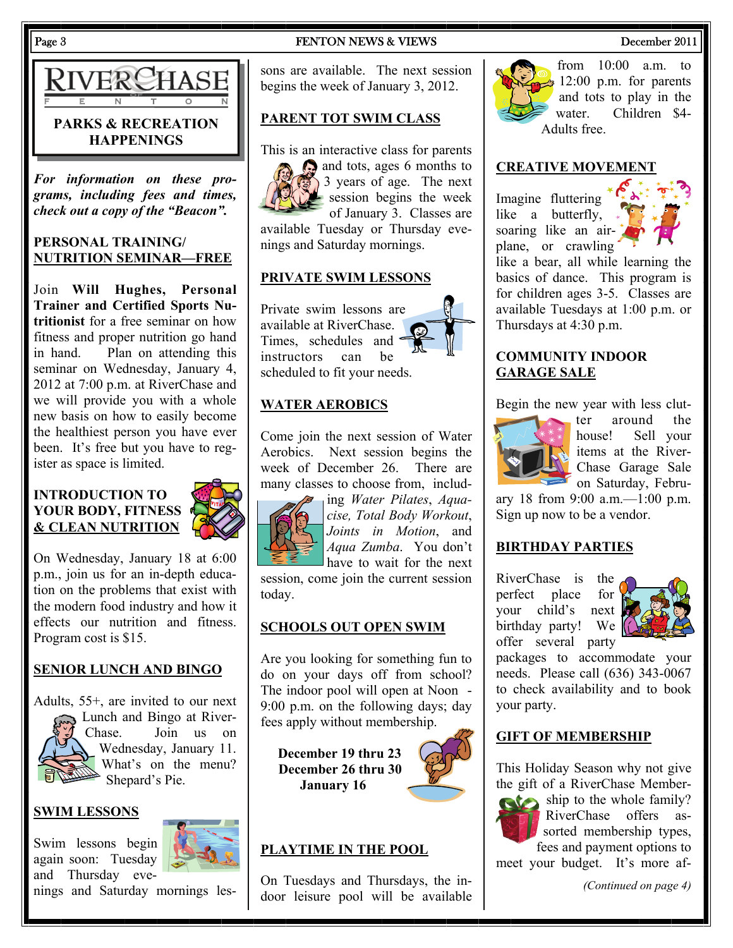

# **PARKS & RECREATION HAPPENINGS**

*For information on these programs, including fees and times, check out a copy of the "Beacon".* 

#### **PERSONAL TRAINING/ NUTRITION SEMINAR—FREE**

Join **Will Hughes, Personal Trainer and Certified Sports Nutritionist** for a free seminar on how fitness and proper nutrition go hand in hand. Plan on attending this seminar on Wednesday, January 4, 2012 at 7:00 p.m. at RiverChase and we will provide you with a whole new basis on how to easily become the healthiest person you have ever been. It's free but you have to register as space is limited.

#### **INTRODUCTION TO YOUR BODY, FITNESS & CLEAN NUTRITION**



On Wednesday, January 18 at 6:00 p.m., join us for an in-depth education on the problems that exist with the modern food industry and how it effects our nutrition and fitness. Program cost is \$15.

# **SENIOR LUNCH AND BINGO**

Adults, 55+, are invited to our next Lunch and Bingo at River-Chase. Join us on Wednesday, January 11. What's on the menu? Shepard's Pie.

#### **SWIM LESSONS**

Swim lessons begin again soon: Tuesday and Thursday eve-



nings and Saturday mornings les-

#### Page 3 **FENTON NEWS & VIEWS** December 2011

sons are available. The next session begins the week of January 3, 2012.

# **PARENT TOT SWIM CLASS**

This is an interactive class for parents



and tots, ages 6 months to 3 years of age. The next session begins the week of January 3. Classes are available Tuesday or Thursday eve-

nings and Saturday mornings.

#### **PRIVATE SWIM LESSONS**

Private swim lessons are available at RiverChase. Times, schedules and instructors can be scheduled to fit your needs.

### **WATER AEROBICS**

Come join the next session of Water Aerobics. Next session begins the week of December 26. There are many classes to choose from, includ-



ing *Water Pilates*, *Aquacise, Total Body Workout*, *Joints in Motion*, and *Aqua Zumba*. You don't have to wait for the next

session, come join the current session today.

### **SCHOOLS OUT OPEN SWIM**

Are you looking for something fun to do on your days off from school? The indoor pool will open at Noon - 9:00 p.m. on the following days; day fees apply without membership.

**December 19 thru 23 December 26 thru 30 January 16** 



# **PLAYTIME IN THE POOL**

On Tuesdays and Thursdays, the indoor leisure pool will be available



from 10:00 a.m. to  $\approx 12:00$  p.m. for parents and tots to play in the water. Children \$4- Adults free.

#### **CREATIVE MOVEMENT**

Imagine fluttering like a butterfly, soaring like an airplane, or crawling



like a bear, all while learning the basics of dance. This program is for children ages 3-5. Classes are available Tuesdays at 1:00 p.m. or Thursdays at 4:30 p.m.

#### **COMMUNITY INDOOR GARAGE SALE**

Begin the new year with less clut-



ter around the house! Sell your items at the River-Chase Garage Sale on Saturday, Febru-

ary 18 from 9:00 a.m.—1:00 p.m. Sign up now to be a vendor.

#### **BIRTHDAY PARTIES**

RiverChase is the perfect place for your child's next birthday party! We offer several party



packages to accommodate your needs. Please call (636) 343-0067 to check availability and to book your party.

#### **GIFT OF MEMBERSHIP**

This Holiday Season why not give the gift of a RiverChase Member-



ship to the whole family? RiverChase offers assorted membership types, fees and payment options to meet your budget. It's more af-

*(Continued on page 4)*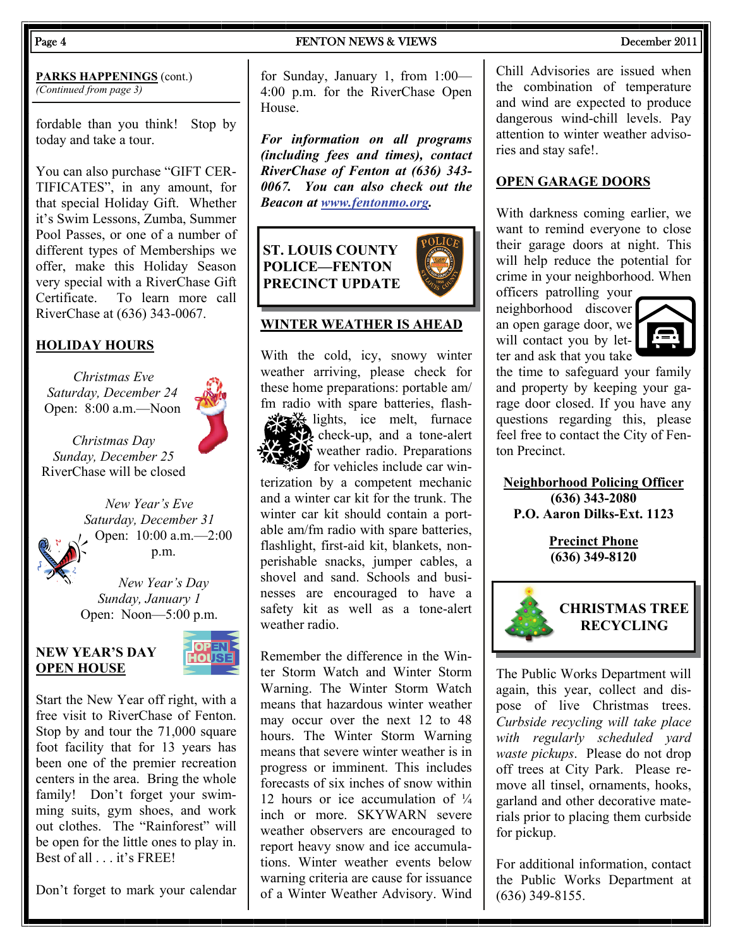#### Page 4 **FENTON NEWS & VIEWS** December 2011

**PARKS HAPPENINGS** (cont.) *(Continued from page 3)* 

fordable than you think! Stop by today and take a tour.

You can also purchase "GIFT CER-TIFICATES", in any amount, for that special Holiday Gift. Whether it's Swim Lessons, Zumba, Summer Pool Passes, or one of a number of different types of Memberships we offer, make this Holiday Season very special with a RiverChase Gift Certificate. To learn more call RiverChase at (636) 343-0067.

# **HOLIDAY HOURS**

*Christmas Eve Saturday, December 24*  Open: 8:00 a.m.—Noon

*Christmas Day Sunday, December 25*  RiverChase will be closed

> *New Year's Eve Saturday, December 31*  Open: 10:00 a.m.—2:00 p.m.

*New Year's Day Sunday, January 1*  Open: Noon—5:00 p.m.

#### **NEW YEAR'S DAY OPEN HOUSE**



Start the New Year off right, with a free visit to RiverChase of Fenton. Stop by and tour the 71,000 square foot facility that for 13 years has been one of the premier recreation centers in the area. Bring the whole family! Don't forget your swimming suits, gym shoes, and work out clothes. The "Rainforest" will be open for the little ones to play in. Best of all . . . it's FREE!

Don't forget to mark your calendar

for Sunday, January 1, from 1:00— 4:00 p.m. for the RiverChase Open House.

*For information on all programs (including fees and times), contact RiverChase of Fenton at (636) 343- 0067. You can also check out the Beacon at [www.fentonmo.org](http://www.fentonmo.org/).*

**ST. LOUIS COUNTY POLICE—FENTON PRECINCT UPDATE** 

#### **WINTER WEATHER IS AHEAD**

With the cold, icy, snowy winter weather arriving, please check for these home preparations: portable am/ fm radio with spare batteries, flash-



 $\mathcal{H}$  lights, ice melt, furnace check-up, and a tone-alert **W** weather radio. Preparations for vehicles include car win-

terization by a competent mechanic and a winter car kit for the trunk. The winter car kit should contain a portable am/fm radio with spare batteries, flashlight, first-aid kit, blankets, nonperishable snacks, jumper cables, a shovel and sand. Schools and businesses are encouraged to have a safety kit as well as a tone-alert weather radio.

Remember the difference in the Winter Storm Watch and Winter Storm Warning. The Winter Storm Watch means that hazardous winter weather may occur over the next 12 to 48 hours. The Winter Storm Warning means that severe winter weather is in progress or imminent. This includes forecasts of six inches of snow within 12 hours or ice accumulation of  $\frac{1}{4}$ inch or more. SKYWARN severe weather observers are encouraged to report heavy snow and ice accumulations. Winter weather events below warning criteria are cause for issuance of a Winter Weather Advisory. Wind Chill Advisories are issued when the combination of temperature and wind are expected to produce dangerous wind-chill levels. Pay attention to winter weather advisories and stay safe!.

#### **OPEN GARAGE DOORS**

With darkness coming earlier, we want to remind everyone to close their garage doors at night. This will help reduce the potential for crime in your neighborhood. When officers patrolling your

neighborhood discover an open garage door, we will contact you by letter and ask that you take



the time to safeguard your family and property by keeping your garage door closed. If you have any questions regarding this, please feel free to contact the City of Fenton Precinct.

**Neighborhood Policing Officer (636) 343-2080 P.O. Aaron Dilks-Ext. 1123** 

> **Precinct Phone (636) 349-8120**



The Public Works Department will again, this year, collect and dispose of live Christmas trees. *Curbside recycling will take place with regularly scheduled yard waste pickups*. Please do not drop off trees at City Park. Please remove all tinsel, ornaments, hooks, garland and other decorative materials prior to placing them curbside for pickup.

For additional information, contact the Public Works Department at (636) 349-8155.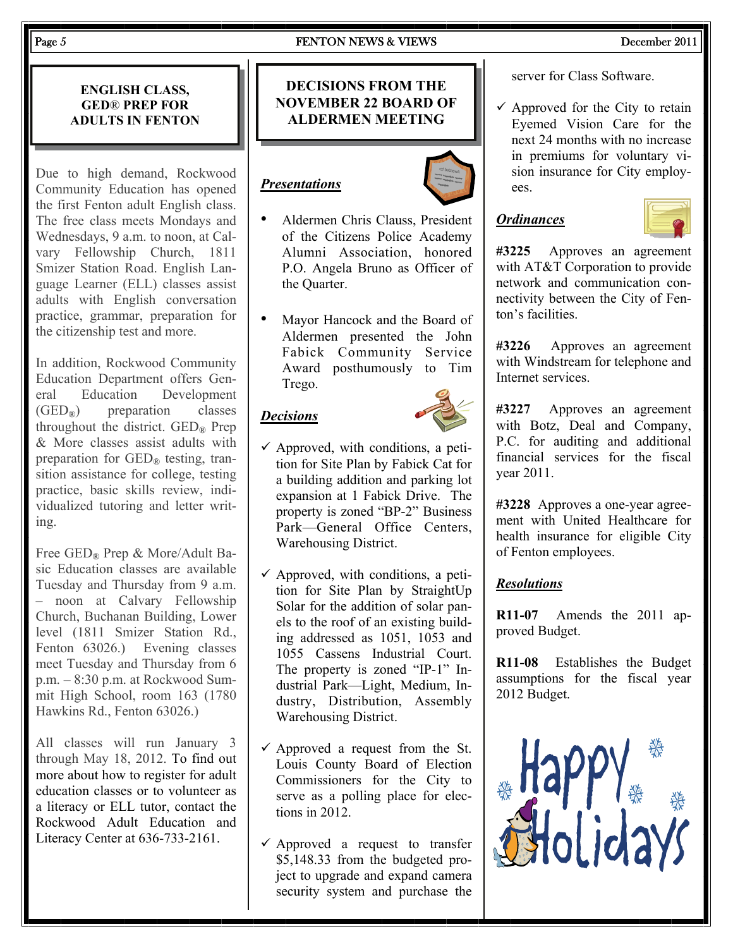#### Page 5 **FENTON NEWS & VIEWS** December 2011

#### **ENGLISH CLASS, GED**® **PREP FOR ADULTS IN FENTON**

Due to high demand, Rockwood Community Education has opened the first Fenton adult English class. The free class meets Mondays and Wednesdays, 9 a.m. to noon, at Calvary Fellowship Church, 1811 Smizer Station Road. English Language Learner (ELL) classes assist adults with English conversation practice, grammar, preparation for the citizenship test and more.

In addition, Rockwood Community Education Department offers General Education Development  $(GED<sub>®</sub>)$  preparation classes throughout the district.  $\text{GED}_\mathcal{R}$  Prep & More classes assist adults with preparation for  $\text{GED}_\mathbb{R}$  testing, transition assistance for college, testing practice, basic skills review, individualized tutoring and letter writing.

Free GED<sub>®</sub> Prep & More/Adult Basic Education classes are available Tuesday and Thursday from 9 a.m. – noon at Calvary Fellowship Church, Buchanan Building, Lower level (1811 Smizer Station Rd., Fenton 63026.) Evening classes meet Tuesday and Thursday from 6 p.m. – 8:30 p.m. at Rockwood Summit High School, room 163 (1780 Hawkins Rd., Fenton 63026.)

All classes will run January 3 through May 18, 2012. To find out more about how to register for adult education classes or to volunteer as a literacy or ELL tutor, contact the Rockwood Adult Education and Literacy Center at 636-733-2161.

### **DECISIONS FROM THE NOVEMBER 22 BOARD OF ALDERMEN MEETING**

# *Presentations*



- Aldermen Chris Clauss, President of the Citizens Police Academy Alumni Association, honored P.O. Angela Bruno as Officer of the Quarter.
- Mayor Hancock and the Board of Aldermen presented the John Fabick Community Service Award posthumously to Tim Trego.

#### *Decisions*



- $\checkmark$  Approved, with conditions, a petition for Site Plan by Fabick Cat for a building addition and parking lot expansion at 1 Fabick Drive. The property is zoned "BP-2" Business Park—General Office Centers, Warehousing District.
- $\checkmark$  Approved, with conditions, a petition for Site Plan by StraightUp Solar for the addition of solar panels to the roof of an existing building addressed as 1051, 1053 and 1055 Cassens Industrial Court. The property is zoned "IP-1" Industrial Park—Light, Medium, Industry, Distribution, Assembly Warehousing District.
- $\checkmark$  Approved a request from the St. Louis County Board of Election Commissioners for the City to serve as a polling place for elections in 2012.
- $\checkmark$  Approved a request to transfer \$5,148.33 from the budgeted project to upgrade and expand camera security system and purchase the

server for Class Software.

 $\checkmark$  Approved for the City to retain Eyemed Vision Care for the next 24 months with no increase in premiums for voluntary vision insurance for City employees.

# *Ordinances*



**#3225** Approves an agreement with AT&T Corporation to provide network and communication connectivity between the City of Fenton's facilities.

**#3226** Approves an agreement with Windstream for telephone and Internet services.

**#3227** Approves an agreement with Botz, Deal and Company, P.C. for auditing and additional financial services for the fiscal year 2011.

**#3228** Approves a one-year agreement with United Healthcare for health insurance for eligible City of Fenton employees.

#### *Resolutions*

**R11-07** Amends the 2011 approved Budget.

**R11-08** Establishes the Budget assumptions for the fiscal year 2012 Budget.